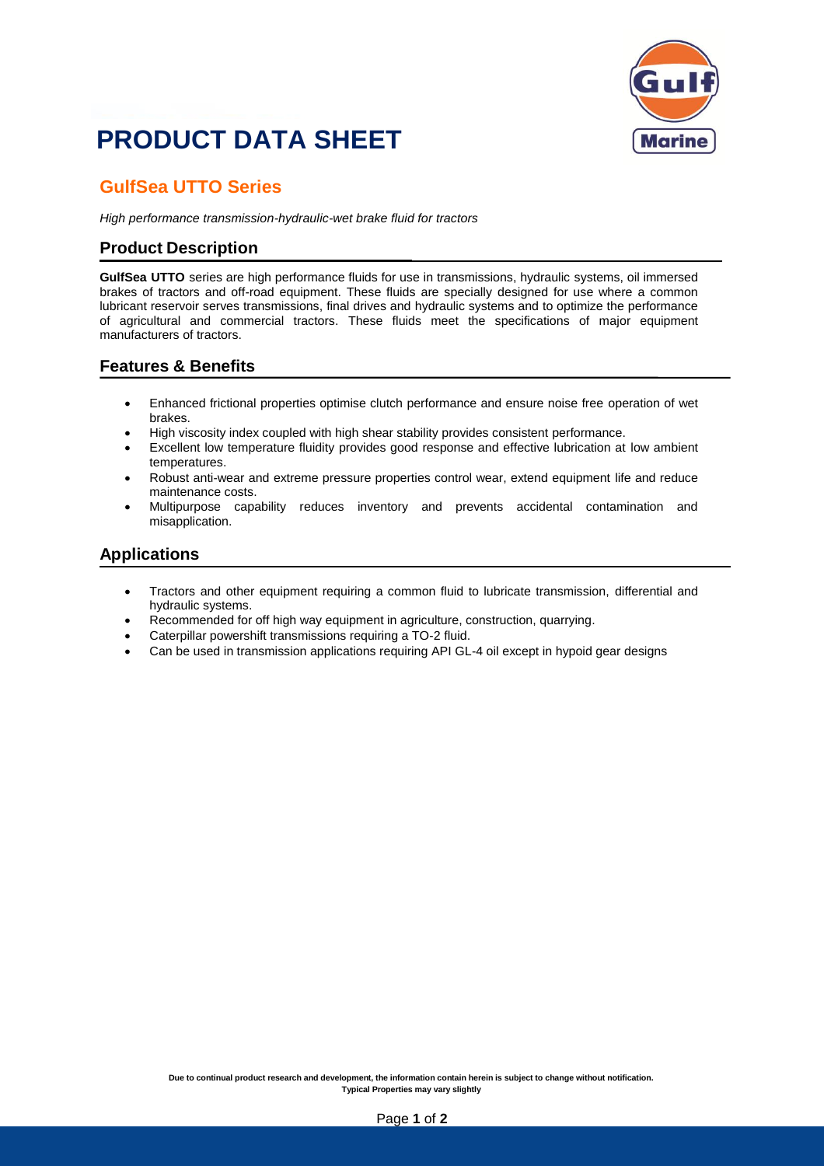

## **PRODUCT DATA SHEET**

### **GulfSea UTTO Series**

*High performance transmission-hydraulic-wet brake fluid for tractors*

#### **Product Description**

**GulfSea UTTO** series are high performance fluids for use in transmissions, hydraulic systems, oil immersed brakes of tractors and off-road equipment. These fluids are specially designed for use where a common lubricant reservoir serves transmissions, final drives and hydraulic systems and to optimize the performance of agricultural and commercial tractors. These fluids meet the specifications of major equipment manufacturers of tractors.

#### **Features & Benefits**

- Enhanced frictional properties optimise clutch performance and ensure noise free operation of wet brakes.
- High viscosity index coupled with high shear stability provides consistent performance.
- Excellent low temperature fluidity provides good response and effective lubrication at low ambient temperatures.
- Robust anti-wear and extreme pressure properties control wear, extend equipment life and reduce maintenance costs.
- Multipurpose capability reduces inventory and prevents accidental contamination and misapplication.

#### **Applications**

- Tractors and other equipment requiring a common fluid to lubricate transmission, differential and hydraulic systems.
- Recommended for off high way equipment in agriculture, construction, quarrying.
- Caterpillar powershift transmissions requiring a TO-2 fluid.
- Can be used in transmission applications requiring API GL-4 oil except in hypoid gear designs